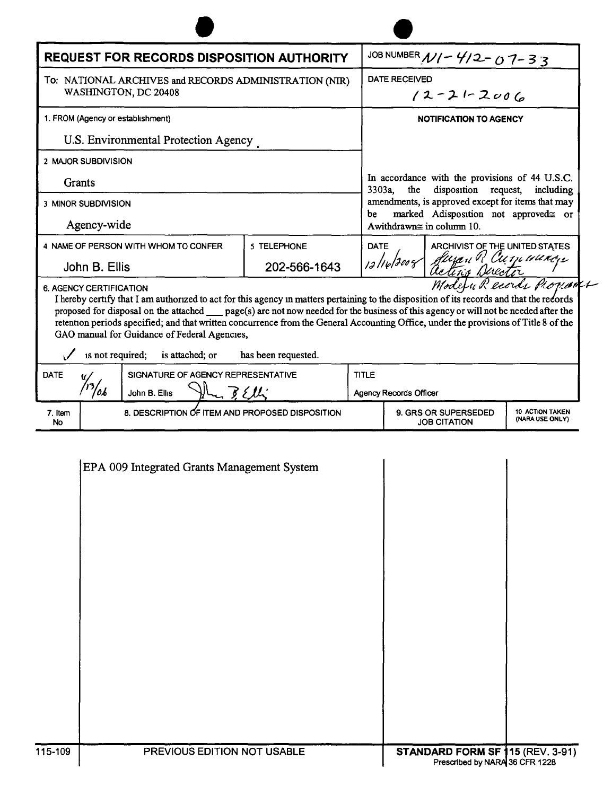| <b>REQUEST FOR RECORDS DISPOSITION AUTHORITY</b>                                                                  |                                                                          |                                |                               | JOB NUMBER $N/-$ 4/2-07-33                                                                                                                                                                                                                                                                                                                                                                                                                         |  |
|-------------------------------------------------------------------------------------------------------------------|--------------------------------------------------------------------------|--------------------------------|-------------------------------|----------------------------------------------------------------------------------------------------------------------------------------------------------------------------------------------------------------------------------------------------------------------------------------------------------------------------------------------------------------------------------------------------------------------------------------------------|--|
| To: NATIONAL ARCHIVES and RECORDS ADMINISTRATION (NIR)<br>WASHINGTON, DC 20408                                    |                                                                          |                                |                               | <b>DATE RECEIVED</b><br>$12 - 21 - 2006$                                                                                                                                                                                                                                                                                                                                                                                                           |  |
| 1. FROM (Agency or establishment)                                                                                 |                                                                          |                                |                               | NOTIFICATION TO AGENCY                                                                                                                                                                                                                                                                                                                                                                                                                             |  |
| U.S. Environmental Protection Agency                                                                              |                                                                          |                                |                               |                                                                                                                                                                                                                                                                                                                                                                                                                                                    |  |
| 2 MAJOR SUBDIVISION                                                                                               |                                                                          |                                |                               |                                                                                                                                                                                                                                                                                                                                                                                                                                                    |  |
| Grants                                                                                                            |                                                                          |                                |                               | In accordance with the provisions of 44 U.S.C.<br>disposition request,<br>$3303a$ ,<br>the<br>including<br>amendments, is approved except for items that may<br>marked Adisposition not approved≅ or<br>be<br>Awithdrawn $\cong$ in column 10.                                                                                                                                                                                                     |  |
| <b>3 MINOR SUBDIVISION</b>                                                                                        |                                                                          |                                |                               |                                                                                                                                                                                                                                                                                                                                                                                                                                                    |  |
| Agency-wide                                                                                                       |                                                                          |                                |                               |                                                                                                                                                                                                                                                                                                                                                                                                                                                    |  |
| 4 NAME OF PERSON WITH WHOM TO CONFER<br><b>DATE</b><br>5 TELEPHONE<br>12/16/2008<br>202-566-1643<br>John B. Ellis |                                                                          | ARCHIVIST OF THE UNITED STATES |                               |                                                                                                                                                                                                                                                                                                                                                                                                                                                    |  |
|                                                                                                                   |                                                                          |                                |                               | Juran R Cumunicys                                                                                                                                                                                                                                                                                                                                                                                                                                  |  |
| 6. AGENCY CERTIFICATION<br>is not required;                                                                       | GAO manual for Guidance of Federal Agencies,<br>is attached; or          | has been requested.            |                               | Modern Records Provant<br>I hereby certify that I am authorized to act for this agency in matters pertaining to the disposition of its records and that the records<br>proposed for disposal on the attached __ page(s) are not now needed for the business of this agency or will not be needed after the<br>retention periods specified; and that written concurrence from the General Accounting Office, under the provisions of Title 8 of the |  |
|                                                                                                                   | SIGNATURE OF AGENCY REPRESENTATIVE                                       |                                | <b>TITLE</b>                  |                                                                                                                                                                                                                                                                                                                                                                                                                                                    |  |
| <b>DATE</b>                                                                                                       |                                                                          |                                | <b>Agency Records Officer</b> |                                                                                                                                                                                                                                                                                                                                                                                                                                                    |  |
| 'ob                                                                                                               | $\mathcal{H}_{\mathcal{L}}$ $\mathcal{L}_{\mathcal{L}}$<br>John B. Ellis |                                |                               |                                                                                                                                                                                                                                                                                                                                                                                                                                                    |  |

| PREVIOUS EDITION NOT USABLE | <b>STANDARD FORM SF 115 (REV. 3-91)</b><br>Prescribed by NARA 36 CFR 1228 |
|-----------------------------|---------------------------------------------------------------------------|
|                             |                                                                           |
|                             |                                                                           |
|                             |                                                                           |
|                             |                                                                           |
|                             |                                                                           |
|                             |                                                                           |
|                             |                                                                           |
|                             |                                                                           |
|                             |                                                                           |
|                             |                                                                           |
|                             |                                                                           |
|                             |                                                                           |
|                             | EPA 009 Integrated Grants Management System                               |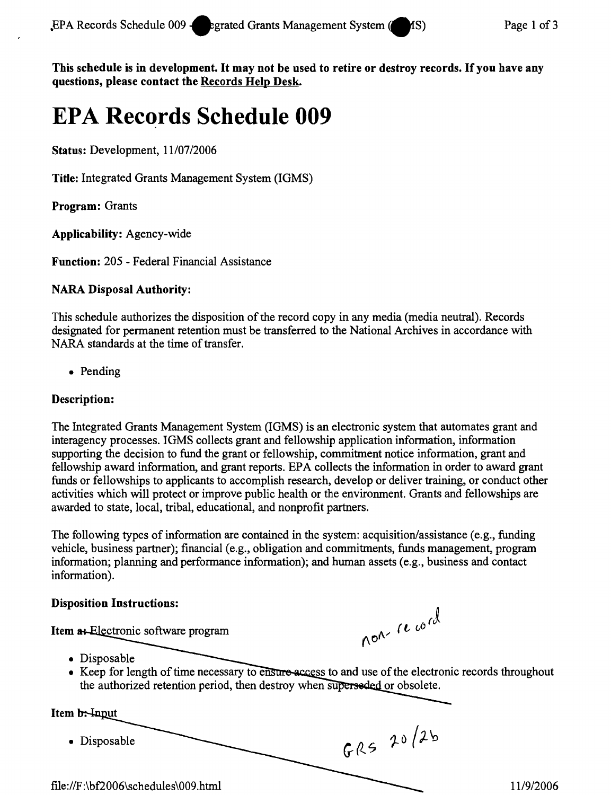This schedule is in development. It may not be used to retire or destroy records. If you have any questions, please contact the Records Help Desk.

# **EPA Records Schedule 009**

Status: Development, *1110712006*

Title: Integrated Grants Management System (IGMS)

Program: Grants

Applicability: Agency-wide

Function: 205 - Federal Financial Assistance

## NARA Disposal Authority:

This schedule authorizes the disposition of the record copy in any media (media neutral). Records designated for permanent retention must be transferred to the National Archives in accordance with NARA standards at the time of transfer.

• Pending

#### Description:

The Integrated Grants Management System (IGMS) is an electronic system that automates grant and interagency processes. IGMS collects grant and fellowship application information, information supporting the decision to fund the grant or fellowship, commitment notice information, grant and fellowship award information, and grant reports. EPA collects the information in order to award grant funds or fellowships to applicants to accomplish research, develop or deliver training, or conduct other activities which will protect or improve public health or the environment. Grants and fellowships are awarded to state, local, tribal, educational, and nonprofit partners.

The following types of information are contained in the system: acquisition/assistance (e.g., funding vehicle, business partner); financial (e.g., obligation and commitments, funds management, program information; planning and performance information); and human assets (e.g., business and contact information).

#### Disposition Instructions:

Item at Electronic software program

non-record

GRS 20/2b

- Disposable
- Keep for length of time necessary to ensure access to and use of the electronic records throughout the authorized retention period, then destroy when superseded or obsolete.

Item b: Input

• Disposable

*file:1 IF:* \bf2006\schedules\009 .html *1119/2006*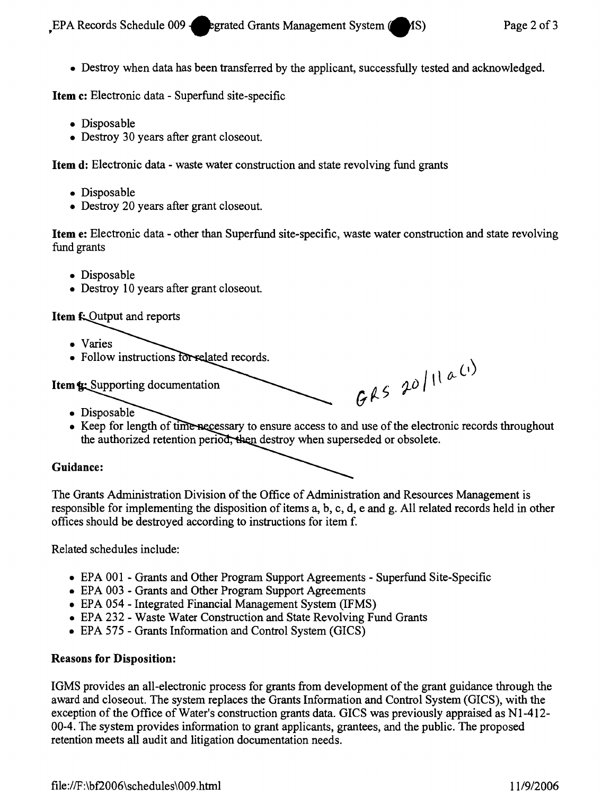• Destroy when data has been transferred by the applicant, successfully tested and acknowledged.

Item c: Electronic data - Superfund site-specific

- Disposable
- Destroy 30 years after grant closeout.

Item d: Electronic data - waste water construction and state revolving fund grants

- Disposable
- Destroy 20 years after grant closeout.

Item e: Electronic data - other than Superfund site-specific, waste water construction and state revolving fund grants

- Disposable
- Destroy 10 years after grant closeout.

### **Item f: Output and reports**

- • Varies
- Follow instructions for related records.

**Item &:** Supporting documentation

- Disposable
- Keep for length of time necessary to ensure access to and use of the electronic records throughout the authorized retention period, then destroy when superseded or obsolete.

 $GAS$  20/11a (1)

#### Guidance:

The Grants Administration Division of the Office of Administration and Resources Management is responsible for implementing the disposition of items a, b, c, d, e and g. All related records held in other offices should be destroyed according to instructions for item f.

Related schedules include:

- EPA 001 Grants and Other Program Support Agreements Superfund Site-Specific
- EPA 003 Grants and Other Program Support Agreements
- EPA 054 Integrated Financial Management System (IFMS)
- EPA 232 Waste Water Construction and State Revolving Fund Grants
- EPA 575 Grants Information and Control System (GICS)

#### Reasons for Disposition:

IGMS provides an all-electronic process for grants from development of the grant guidance through the award and closeout. The system replaces the Grants Information and Control System (GICS), with the exception of the Office of Water's construction grants data. GICS was previously appraised as N1-412-00-4. The system provides information to grant applicants, grantees, and the public. The proposed retention meets all audit and litigation documentation needs.